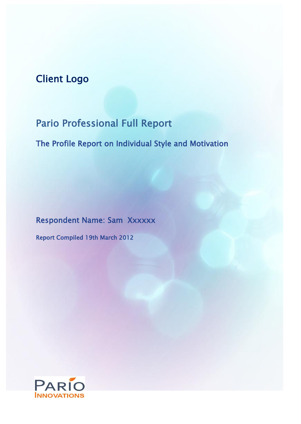# Client Logo

# Pario Professional Full Report

The Profile Report on Individual Style and Motivation

Respondent Name: Sam Xxxxxx

Report Compiled 19th March 2012

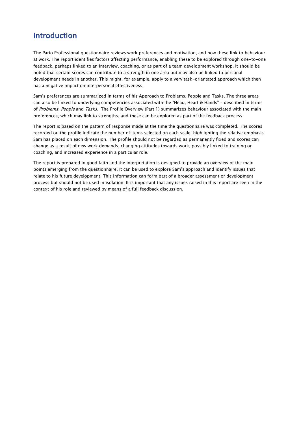## Introduction

The Pario Professional questionnaire reviews work preferences and motivation, and how these link to behaviour at work. The report identifies factors affecting performance, enabling these to be explored through one-to-one feedback, perhaps linked to an interview, coaching, or as part of a team development workshop. It should be noted that certain scores can contribute to a strength in one area but may also be linked to personal development needs in another. This might, for example, apply to a very task-orientated approach which then has a negative impact on interpersonal effectiveness.

Sam's preferences are summarized in terms of his Approach to Problems, People and Tasks. The three areas can also be linked to underlying competencies associated with the "Head, Heart & Hands" – described in terms of Problems, People and Tasks. The Profile Overview (Part 1) summarizes behaviour associated with the main preferences, which may link to strengths, and these can be explored as part of the feedback process.

The report is based on the pattern of response made at the time the questionnaire was completed. The scores recorded on the profile indicate the number of items selected on each scale, highlighting the relative emphasis Sam has placed on each dimension. The profile should not be regarded as permanently fixed and scores can change as a result of new work demands, changing attitudes towards work, possibly linked to training or coaching, and increased experience in a particular role.

The report is prepared in good faith and the interpretation is designed to provide an overview of the main points emerging from the questionnaire. It can be used to explore Sam's approach and identify issues that relate to his future development. This information can form part of a broader assessment or development process but should not be used in isolation. It is important that any issues raised in this report are seen in the context of his role and reviewed by means of a full feedback discussion.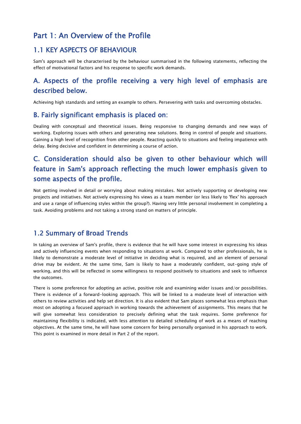## Part 1: An Overview of the Profile

#### 1.1 KEY ASPECTS OF BEHAVIOUR

Sam's approach will be characterised by the behaviour summarised in the following statements, reflecting the effect of motivational factors and his response to specific work demands.

## A. Aspects of the profile receiving a very high level of emphasis are described below.

Achieving high standards and setting an example to others. Persevering with tasks and overcoming obstacles.

#### B. Fairly significant emphasis is placed on:

Dealing with conceptual and theoretical issues. Being responsive to changing demands and new ways of working. Exploring issues with others and generating new solutions. Being in control of people and situations. Gaining a high level of recognition from other people. Reacting quickly to situations and feeling impatience with delay. Being decisive and confident in determining a course of action.

## C. Consideration should also be given to other behaviour which will feature in Sam's approach reflecting the much lower emphasis given to some aspects of the profile.

Not getting involved in detail or worrying about making mistakes. Not actively supporting or developing new projects and initiatives. Not actively expressing his views as a team member (or less likely to 'flex' his approach and use a range of influencing styles within the group?). Having very little personal involvement in completing a task. Avoiding problems and not taking a strong stand on matters of principle.

#### 1.2 Summary of Broad Trends

In taking an overview of Sam's profile, there is evidence that he will have some interest in expressing his ideas and actively influencing events when responding to situations at work. Compared to other professionals, he is likely to demonstrate a moderate level of initiative in deciding what is required, and an element of personal drive may be evident. At the same time, Sam is likely to have a moderately confident, out-going style of working, and this will be reflected in some willingness to respond positively to situations and seek to influence the outcomes.

There is some preference for adopting an active, positive role and examining wider issues and/or possibilities. There is evidence of a forward-looking approach. This will be linked to a moderate level of interaction with others to review activities and help set direction. It is also evident that Sam places somewhat less emphasis than most on adopting a focused approach in working towards the achievement of assignments. This means that he will give somewhat less consideration to precisely defining what the task requires. Some preference for maintaining flexibility is indicated, with less attention to detailed scheduling of work as a means of reaching objectives. At the same time, he will have some concern for being personally organised in his approach to work. This point is examined in more detail in Part 2 of the report.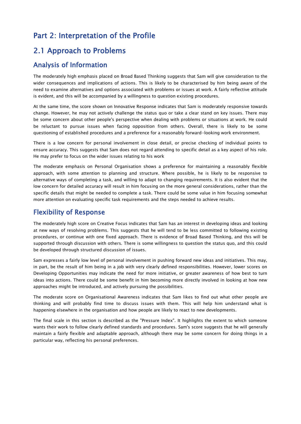## Part 2: Interpretation of the Profile

## 2.1 Approach to Problems

#### Analysis of Information

The moderately high emphasis placed on Broad Based Thinking suggests that Sam will give consideration to the wider consequences and implications of actions. This is likely to be characterised by him being aware of the need to examine alternatives and options associated with problems or issues at work. A fairly reflective attitude is evident, and this will be accompanied by a willingness to question existing procedures.

At the same time, the score shown on Innovative Response indicates that Sam is moderately responsive towards change. However, he may not actively challenge the status quo or take a clear stand on key issues. There may be some concern about other people's perspective when dealing with problems or situations at work. He could be reluctant to pursue issues when facing opposition from others. Overall, there is likely to be some questioning of established procedures and a preference for a reasonably forward-looking work environment.

There is a low concern for personal involvement in close detail, or precise checking of individual points to ensure accuracy. This suggests that Sam does not regard attending to specific detail as a key aspect of his role. He may prefer to focus on the wider issues relating to his work

The moderate emphasis on Personal Organisation shows a preference for maintaining a reasonably flexible approach, with some attention to planning and structure. Where possible, he is likely to be responsive to alternative ways of completing a task, and willing to adapt to changing requirements. It is also evident that the low concern for detailed accuracy will result in him focusing on the more general considerations, rather than the specific details that might be needed to complete a task. There could be some value in him focusing somewhat more attention on evaluating specific task requirements and the steps needed to achieve results.

### Flexibility of Response

The moderately high score on Creative Focus indicates that Sam has an interest in developing ideas and looking at new ways of resolving problems. This suggests that he will tend to be less committed to following existing procedures, or continue with one fixed approach. There is evidence of Broad Based Thinking, and this will be supported through discussion with others. There is some willingness to question the status quo, and this could be developed through structured discussion of issues.

Sam expresses a fairly low level of personal involvement in pushing forward new ideas and initiatives. This may, in part, be the result of him being in a job with very clearly defined responsibilities. However, lower scores on Developing Opportunities may indicate the need for more initiative, or greater awareness of how best to turn ideas into actions. There could be some benefit in him becoming more directly involved in looking at how new approaches might be introduced, and actively pursuing the possibilities.

The moderate score on Organisational Awareness indicates that Sam likes to find out what other people are thinking and will probably find time to discuss issues with them. This will help him understand what is happening elsewhere in the organisation and how people are likely to react to new developments.

The final scale in this section is described as the "Pressure Index". It highlights the extent to which someone wants their work to follow clearly defined standards and procedures. Sam's score suggests that he will generally maintain a fairly flexible and adaptable approach, although there may be some concern for doing things in a particular way, reflecting his personal preferences.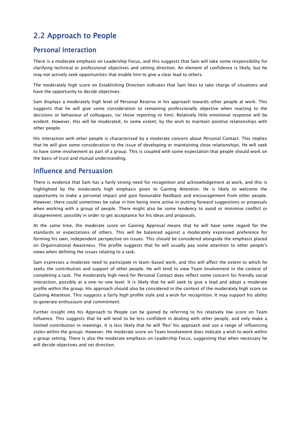## 2.2 Approach to People

#### Personal Interaction

There is a moderate emphasis on Leadership Focus, and this suggests that Sam will take some responsibility for clarifying technical or professional objectives and setting direction. An element of confidence is likely, but he may not actively seek opportunities that enable him to give a clear lead to others.

The moderately high score on Establishing Direction indicates that Sam likes to take charge of situations and have the opportunity to decide objectives.

Sam displays a moderately high level of Personal Reserve in his approach towards other people at work. This suggests that he will give some consideration to remaining professionally objective when reacting to the decisions or behaviour of colleagues, (or those reporting to him). Relatively little emotional response will be evident. However, this will be moderated, to some extent, by the wish to maintain positive relationships with other people.

His interaction with other people is characterised by a moderate concern about Personal Contact. This implies that he will give some consideration to the issue of developing or maintaining close relationships. He will seek to have some involvement as part of a group. This is coupled with some expectation that people should work on the basis of trust and mutual understanding.

#### Influence and Persuasion

There is evidence that Sam has a fairly strong need for recognition and acknowledgement at work, and this is highlighted by the moderately high emphasis given to Gaining Attention. He is likely to welcome the opportunity to make a personal impact and gain favourable feedback and encouragement from other people. However, there could sometimes be value in him being more active in putting forward suggestions or proposals when working with a group of people. There might also be some tendency to avoid or minimise conflict or disagreement, possibly in order to get acceptance for his ideas and proposals.

At the same time, the moderate score on Gaining Approval means that he will have some regard for the standards or expectations of others. This will be balanced against a moderately expressed preference for forming his own, independent perspective on issues. This should be considered alongside the emphasis placed on Organisational Awareness. The profile suggests that he will usually pay some attention to other people's views when defining the issues relating to a task.

Sam expresses a moderate need to participate in team-based work, and this will affect the extent to which he seeks the contribution and support of other people. He will tend to view Team Involvement in the context of completing a task. The moderately high need for Personal Contact does reflect some concern for friendly social interaction, possibly at a one-to-one level. It is likely that he will seek to give a lead and adopt a moderate profile within the group. His approach should also be considered in the context of the moderately high score on Gaining Attention. This suggests a fairly high profile style and a wish for recognition. It may support his ability to generate enthusiasm and commitment.

Further insight into his Approach to People can be gained by referring to his relatively low score on Team Influence. This suggests that he will tend to be less confident in dealing with other people, and only make a limited contribution in meetings. It is less likely that he will 'flex' his approach and use a range of influencing styles within the group). However, the moderate score on Team Involvement does indicate a wish to work within a group setting. There is also the moderate emphasis on Leadership Focus, suggesting that when necessary he will decide objectives and set direction.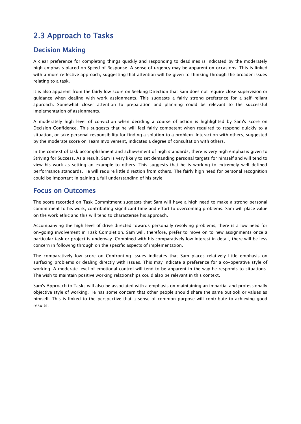## 2.3 Approach to Tasks

### Decision Making

A clear preference for completing things quickly and responding to deadlines is indicated by the moderately high emphasis placed on Speed of Response. A sense of urgency may be apparent on occasions. This is linked with a more reflective approach, suggesting that attention will be given to thinking through the broader issues relating to a task.

It is also apparent from the fairly low score on Seeking Direction that Sam does not require close supervision or guidance when dealing with work assignments. This suggests a fairly strong preference for a self-reliant approach. Somewhat closer attention to preparation and planning could be relevant to the successful implementation of assignments.

A moderately high level of conviction when deciding a course of action is highlighted by Sam's score on Decision Confidence. This suggests that he will feel fairly competent when required to respond quickly to a situation, or take personal responsibility for finding a solution to a problem. Interaction with others, suggested by the moderate score on Team Involvement, indicates a degree of consultation with others.

In the context of task accomplishment and achievement of high standards, there is very high emphasis given to Striving for Success. As a result, Sam is very likely to set demanding personal targets for himself and will tend to view his work as setting an example to others. This suggests that he is working to extremely well defined performance standards. He will require little direction from others. The fairly high need for personal recognition could be important in gaining a full understanding of his style.

#### Focus on Outcomes

The score recorded on Task Commitment suggests that Sam will have a high need to make a strong personal commitment to his work, contributing significant time and effort to overcoming problems. Sam will place value on the work ethic and this will tend to characterise his approach.

Accompanying the high level of drive directed towards personally resolving problems, there is a low need for on-going involvement in Task Completion. Sam will, therefore, prefer to move on to new assignments once a particular task or project is underway. Combined with his comparatively low interest in detail, there will be less concern in following through on the specific aspects of implementation.

The comparatively low score on Confronting Issues indicates that Sam places relatively little emphasis on surfacing problems or dealing directly with issues. This may indicate a preference for a co-operative style of working. A moderate level of emotional control will tend to be apparent in the way he responds to situations. The wish to maintain positive working relationships could also be relevant in this context.

Sam's Approach to Tasks will also be associated with a emphasis on maintaining an impartial and professionally objective style of working. He has some concern that other people should share the same outlook or values as himself. This is linked to the perspective that a sense of common purpose will contribute to achieving good results.